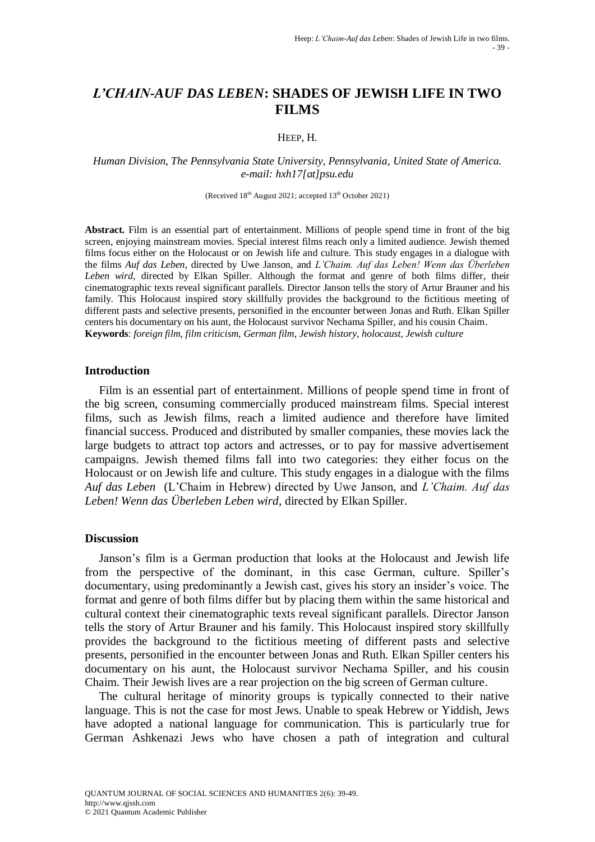# *L'CHAIN-AUF DAS LEBEN***: SHADES OF JEWISH LIFE IN TWO FILMS**

### HEEP, H.

*Human Division, The Pennsylvania State University, Pennsylvania, United State of America. e-mail: hxh17[at]psu.edu*

(Received  $18<sup>th</sup>$  August 2021; accepted  $13<sup>th</sup>$  October 2021)

**Abstract.** Film is an essential part of entertainment. Millions of people spend time in front of the big screen, enjoying mainstream movies. Special interest films reach only a limited audience. Jewish themed films focus either on the Holocaust or on Jewish life and culture. This study engages in a dialogue with the films *Auf das Leben*, directed by Uwe Janson, and *L'Chaim. Auf das Leben! Wenn das Überleben Leben wird,* directed by Elkan Spiller. Although the format and genre of both films differ, their cinematographic texts reveal significant parallels. Director Janson tells the story of Artur Brauner and his family. This Holocaust inspired story skillfully provides the background to the fictitious meeting of different pasts and selective presents, personified in the encounter between Jonas and Ruth. Elkan Spiller centers his documentary on his aunt, the Holocaust survivor Nechama Spiller, and his cousin Chaim. **Keywords**: *foreign film, film criticism, German film, Jewish history, holocaust, Jewish culture*

### **Introduction**

Film is an essential part of entertainment. Millions of people spend time in front of the big screen, consuming commercially produced mainstream films. Special interest films, such as Jewish films, reach a limited audience and therefore have limited financial success. Produced and distributed by smaller companies, these movies lack the large budgets to attract top actors and actresses, or to pay for massive advertisement campaigns. Jewish themed films fall into two categories: they either focus on the Holocaust or on Jewish life and culture. This study engages in a dialogue with the films *Auf das Leben* (L"Chaim in Hebrew) directed by Uwe Janson, and *L'Chaim. Auf das Leben! Wenn das Überleben Leben wird*, directed by Elkan Spiller.

#### **Discussion**

Janson"s film is a German production that looks at the Holocaust and Jewish life from the perspective of the dominant, in this case German, culture. Spiller"s documentary, using predominantly a Jewish cast, gives his story an insider's voice. The format and genre of both films differ but by placing them within the same historical and cultural context their cinematographic texts reveal significant parallels. Director Janson tells the story of Artur Brauner and his family. This Holocaust inspired story skillfully provides the background to the fictitious meeting of different pasts and selective presents, personified in the encounter between Jonas and Ruth. Elkan Spiller centers his documentary on his aunt, the Holocaust survivor Nechama Spiller, and his cousin Chaim. Their Jewish lives are a rear projection on the big screen of German culture.

The cultural heritage of minority groups is typically connected to their native language. This is not the case for most Jews. Unable to speak Hebrew or Yiddish, Jews have adopted a national language for communication. This is particularly true for German Ashkenazi Jews who have chosen a path of integration and cultural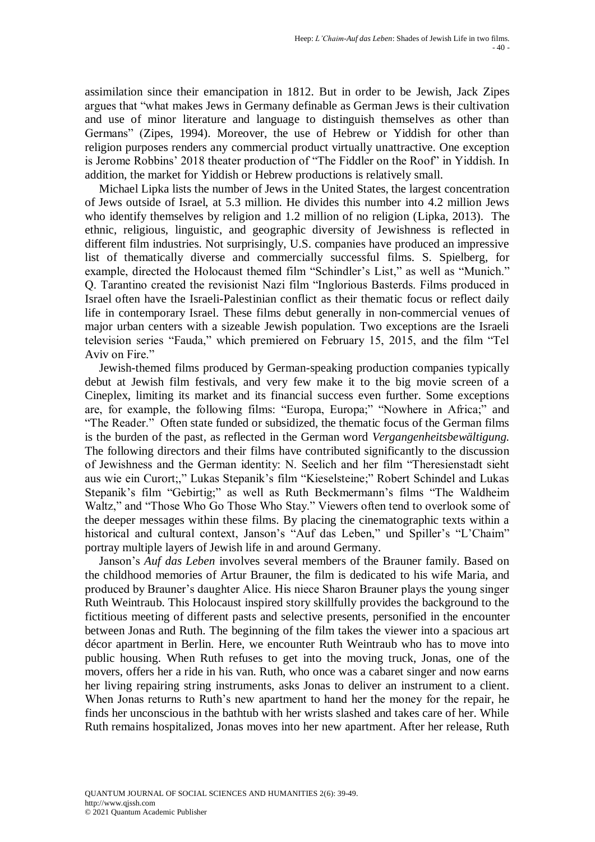assimilation since their emancipation in 1812. But in order to be Jewish, Jack Zipes argues that "what makes Jews in Germany definable as German Jews is their cultivation and use of minor literature and language to distinguish themselves as other than Germans" (Zipes, 1994). Moreover, the use of Hebrew or Yiddish for other than religion purposes renders any commercial product virtually unattractive. One exception is Jerome Robbins' 2018 theater production of "The Fiddler on the Roof" in Yiddish. In addition, the market for Yiddish or Hebrew productions is relatively small.

Michael Lipka lists the number of Jews in the United States, the largest concentration of Jews outside of Israel, at 5.3 million. He divides this number into 4.2 million Jews who identify themselves by religion and 1.2 million of no religion (Lipka, 2013). The ethnic, religious, linguistic, and geographic diversity of Jewishness is reflected in different film industries. Not surprisingly, U.S. companies have produced an impressive list of thematically diverse and commercially successful films. S. Spielberg, for example, directed the Holocaust themed film "Schindler's List," as well as "Munich." Q. Tarantino created the revisionist Nazi film "Inglorious Basterds. Films produced in Israel often have the Israeli-Palestinian conflict as their thematic focus or reflect daily life in contemporary Israel. These films debut generally in non-commercial venues of major urban centers with a sizeable Jewish population. Two exceptions are the Israeli television series "Fauda," which premiered on February 15, 2015, and the film "Tel Aviv on Fire."

Jewish-themed films produced by German-speaking production companies typically debut at Jewish film festivals, and very few make it to the big movie screen of a Cineplex, limiting its market and its financial success even further. Some exceptions are, for example, the following films: "Europa, Europa;" "Nowhere in Africa;" and "The Reader."Often state funded or subsidized, the thematic focus of the German films is the burden of the past, as reflected in the German word *Vergangenheitsbewältigung.* The following directors and their films have contributed significantly to the discussion of Jewishness and the German identity: N. Seelich and her film "Theresienstadt sieht aus wie ein Curort;," Lukas Stepanik's film "Kieselsteine;" Robert Schindel and Lukas Stepanik's film "Gebirtig;" as well as Ruth Beckmermann's films "The Waldheim Waltz," and "Those Who Go Those Who Stay." Viewers often tend to overlook some of the deeper messages within these films. By placing the cinematographic texts within a historical and cultural context, Janson's "Auf das Leben," und Spiller's "L'Chaim" portray multiple layers of Jewish life in and around Germany.

Janson"s *Auf das Leben* involves several members of the Brauner family. Based on the childhood memories of Artur Brauner, the film is dedicated to his wife Maria, and produced by Brauner"s daughter Alice. His niece Sharon Brauner plays the young singer Ruth Weintraub. This Holocaust inspired story skillfully provides the background to the fictitious meeting of different pasts and selective presents, personified in the encounter between Jonas and Ruth. The beginning of the film takes the viewer into a spacious art décor apartment in Berlin. Here, we encounter Ruth Weintraub who has to move into public housing. When Ruth refuses to get into the moving truck, Jonas, one of the movers, offers her a ride in his van. Ruth, who once was a cabaret singer and now earns her living repairing string instruments, asks Jonas to deliver an instrument to a client. When Jonas returns to Ruth's new apartment to hand her the money for the repair, he finds her unconscious in the bathtub with her wrists slashed and takes care of her. While Ruth remains hospitalized, Jonas moves into her new apartment. After her release, Ruth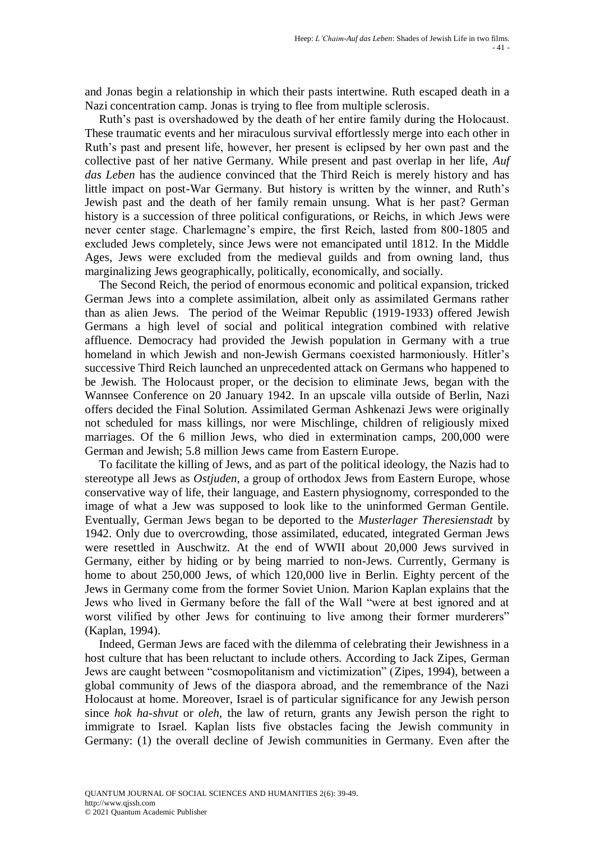and Jonas begin a relationship in which their pasts intertwine. Ruth escaped death in a Nazi concentration camp. Jonas is trying to flee from multiple sclerosis.

Ruth"s past is overshadowed by the death of her entire family during the Holocaust. These traumatic events and her miraculous survival effortlessly merge into each other in Ruth"s past and present life, however, her present is eclipsed by her own past and the collective past of her native Germany. While present and past overlap in her life, *Auf das Leben* has the audience convinced that the Third Reich is merely history and has little impact on post-War Germany. But history is written by the winner, and Ruth"s Jewish past and the death of her family remain unsung. What is her past? German history is a succession of three political configurations, or Reichs, in which Jews were never center stage. Charlemagne"s empire, the first Reich, lasted from 800-1805 and excluded Jews completely, since Jews were not emancipated until 1812. In the Middle Ages, Jews were excluded from the medieval guilds and from owning land, thus marginalizing Jews geographically, politically, economically, and socially.

The Second Reich, the period of enormous economic and political expansion, tricked German Jews into a complete assimilation, albeit only as assimilated Germans rather than as alien Jews. The period of the Weimar Republic (1919-1933) offered Jewish Germans a high level of social and political integration combined with relative affluence. Democracy had provided the Jewish population in Germany with a true homeland in which Jewish and non-Jewish Germans coexisted harmoniously. Hitler's successive Third Reich launched an unprecedented attack on Germans who happened to be Jewish. The Holocaust proper, or the decision to eliminate Jews, began with the Wannsee Conference on 20 January 1942. In an upscale villa outside of Berlin, Nazi offers decided the Final Solution. Assimilated German Ashkenazi Jews were originally not scheduled for mass killings, nor were Mischlinge, children of religiously mixed marriages. Of the 6 million Jews, who died in extermination camps, 200,000 were German and Jewish; 5.8 million Jews came from Eastern Europe.

To facilitate the killing of Jews, and as part of the political ideology, the Nazis had to stereotype all Jews as *Ostjuden*, a group of orthodox Jews from Eastern Europe, whose conservative way of life, their language, and Eastern physiognomy, corresponded to the image of what a Jew was supposed to look like to the uninformed German Gentile. Eventually, German Jews began to be deported to the *Musterlager Theresienstadt* by 1942. Only due to overcrowding, those assimilated, educated, integrated German Jews were resettled in Auschwitz. At the end of WWII about 20,000 Jews survived in Germany, either by hiding or by being married to non-Jews. Currently, Germany is home to about 250,000 Jews, of which 120,000 live in Berlin. Eighty percent of the Jews in Germany come from the former Soviet Union. Marion Kaplan explains that the Jews who lived in Germany before the fall of the Wall "were at best ignored and at worst vilified by other Jews for continuing to live among their former murderers" (Kaplan, 1994).

Indeed, German Jews are faced with the dilemma of celebrating their Jewishness in a host culture that has been reluctant to include others. According to Jack Zipes, German Jews are caught between "cosmopolitanism and victimization" (Zipes, 1994), between a global community of Jews of the diaspora abroad, and the remembrance of the Nazi Holocaust at home. Moreover, Israel is of particular significance for any Jewish person since *hok ha-shvut* or *oleh,* the law of return, grants any Jewish person the right to immigrate to Israel. Kaplan lists five obstacles facing the Jewish community in Germany: (1) the overall decline of Jewish communities in Germany. Even after the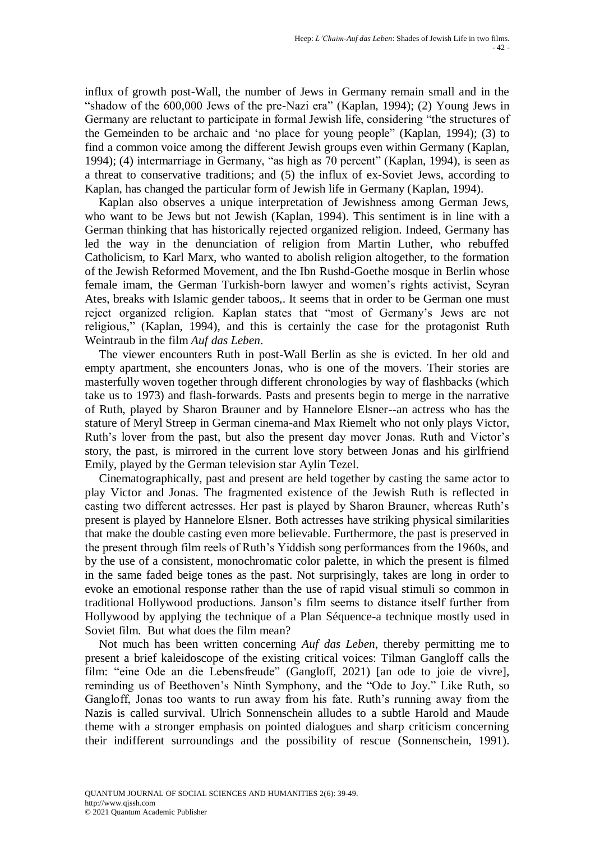influx of growth post-Wall, the number of Jews in Germany remain small and in the "shadow of the 600,000 Jews of the pre-Nazi era" (Kaplan, 1994); (2) Young Jews in Germany are reluctant to participate in formal Jewish life, considering "the structures of the Gemeinden to be archaic and "no place for young people" (Kaplan, 1994); (3) to find a common voice among the different Jewish groups even within Germany (Kaplan, 1994); (4) intermarriage in Germany, "as high as 70 percent" (Kaplan, 1994), is seen as a threat to conservative traditions; and (5) the influx of ex-Soviet Jews, according to Kaplan, has changed the particular form of Jewish life in Germany (Kaplan, 1994).

Kaplan also observes a unique interpretation of Jewishness among German Jews, who want to be Jews but not Jewish (Kaplan, 1994). This sentiment is in line with a German thinking that has historically rejected organized religion. Indeed, Germany has led the way in the denunciation of religion from Martin Luther, who rebuffed Catholicism, to Karl Marx, who wanted to abolish religion altogether, to the formation of the Jewish Reformed Movement, and the Ibn Rushd-Goethe mosque in Berlin whose female imam, the German Turkish-born lawyer and women"s rights activist, Seyran Ates, breaks with Islamic gender taboos,. It seems that in order to be German one must reject organized religion. Kaplan states that "most of Germany"s Jews are not religious," (Kaplan, 1994), and this is certainly the case for the protagonist Ruth Weintraub in the film *Auf das Leben*.

The viewer encounters Ruth in post-Wall Berlin as she is evicted. In her old and empty apartment, she encounters Jonas, who is one of the movers. Their stories are masterfully woven together through different chronologies by way of flashbacks (which take us to 1973) and flash-forwards. Pasts and presents begin to merge in the narrative of Ruth, played by Sharon Brauner and by Hannelore Elsner--an actress who has the stature of Meryl Streep in German cinema-and Max Riemelt who not only plays Victor, Ruth's lover from the past, but also the present day mover Jonas. Ruth and Victor's story, the past, is mirrored in the current love story between Jonas and his girlfriend Emily, played by the German television star Aylin Tezel.

Cinematographically, past and present are held together by casting the same actor to play Victor and Jonas. The fragmented existence of the Jewish Ruth is reflected in casting two different actresses. Her past is played by Sharon Brauner, whereas Ruth"s present is played by Hannelore Elsner. Both actresses have striking physical similarities that make the double casting even more believable. Furthermore, the past is preserved in the present through film reels of Ruth"s Yiddish song performances from the 1960s, and by the use of a consistent, monochromatic color palette, in which the present is filmed in the same faded beige tones as the past. Not surprisingly, takes are long in order to evoke an emotional response rather than the use of rapid visual stimuli so common in traditional Hollywood productions. Janson"s film seems to distance itself further from Hollywood by applying the technique of a Plan Séquence-a technique mostly used in Soviet film. But what does the film mean?

Not much has been written concerning *Auf das Leben*, thereby permitting me to present a brief kaleidoscope of the existing critical voices: Tilman Gangloff calls the film: "eine Ode an die Lebensfreude" (Gangloff, 2021) [an ode to joie de vivre], reminding us of Beethoven"s Ninth Symphony, and the "Ode to Joy." Like Ruth, so Gangloff, Jonas too wants to run away from his fate. Ruth's running away from the Nazis is called survival. Ulrich Sonnenschein alludes to a subtle Harold and Maude theme with a stronger emphasis on pointed dialogues and sharp criticism concerning their indifferent surroundings and the possibility of rescue (Sonnenschein, 1991).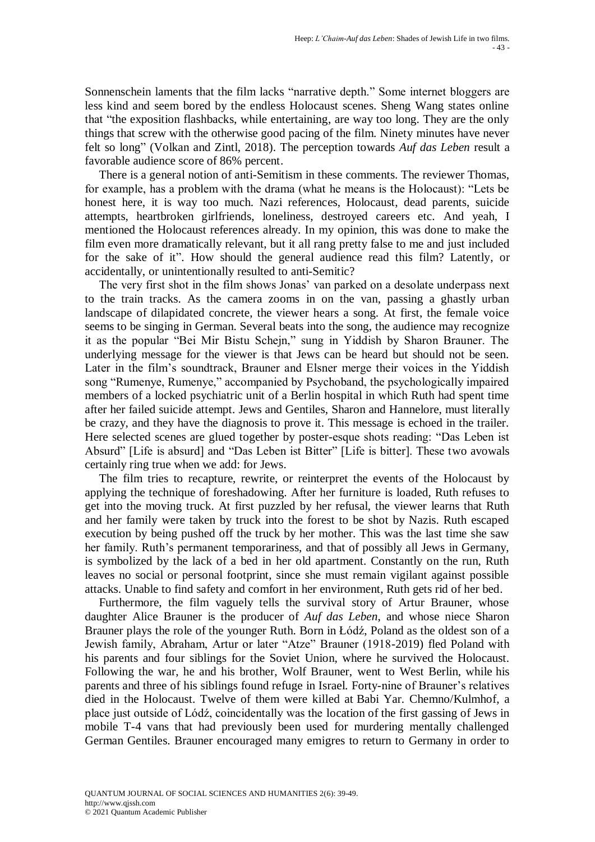Sonnenschein laments that the film lacks "narrative depth." Some internet bloggers are less kind and seem bored by the endless Holocaust scenes. Sheng Wang states online that "the exposition flashbacks, while entertaining, are way too long. They are the only things that screw with the otherwise good pacing of the film. Ninety minutes have never felt so long" (Volkan and Zintl, 2018). The perception towards *Auf das Leben* result a favorable audience score of 86% percent.

There is a general notion of anti-Semitism in these comments. The reviewer Thomas, for example, has a problem with the drama (what he means is the Holocaust): "Lets be honest here, it is way too much. Nazi references, Holocaust, dead parents, suicide attempts, heartbroken girlfriends, loneliness, destroyed careers etc. And yeah, I mentioned the Holocaust references already. In my opinion, this was done to make the film even more dramatically relevant, but it all rang pretty false to me and just included for the sake of it". How should the general audience read this film? Latently, or accidentally, or unintentionally resulted to anti-Semitic?

The very first shot in the film shows Jonas' van parked on a desolate underpass next to the train tracks. As the camera zooms in on the van, passing a ghastly urban landscape of dilapidated concrete, the viewer hears a song. At first, the female voice seems to be singing in German. Several beats into the song, the audience may recognize it as the popular "Bei Mir Bistu Schejn," sung in Yiddish by Sharon Brauner. The underlying message for the viewer is that Jews can be heard but should not be seen. Later in the film"s soundtrack, Brauner and Elsner merge their voices in the Yiddish song "Rumenye, Rumenye," accompanied by Psychoband, the psychologically impaired members of a locked psychiatric unit of a Berlin hospital in which Ruth had spent time after her failed suicide attempt. Jews and Gentiles, Sharon and Hannelore, must literally be crazy, and they have the diagnosis to prove it. This message is echoed in the trailer. Here selected scenes are glued together by poster-esque shots reading: "Das Leben ist Absurd" [Life is absurd] and "Das Leben ist Bitter" [Life is bitter]. These two avowals certainly ring true when we add: for Jews.

The film tries to recapture, rewrite, or reinterpret the events of the Holocaust by applying the technique of foreshadowing. After her furniture is loaded, Ruth refuses to get into the moving truck. At first puzzled by her refusal, the viewer learns that Ruth and her family were taken by truck into the forest to be shot by Nazis. Ruth escaped execution by being pushed off the truck by her mother. This was the last time she saw her family. Ruth's permanent temporariness, and that of possibly all Jews in Germany, is symbolized by the lack of a bed in her old apartment. Constantly on the run, Ruth leaves no social or personal footprint, since she must remain vigilant against possible attacks. Unable to find safety and comfort in her environment, Ruth gets rid of her bed.

Furthermore, the film vaguely tells the survival story of Artur Brauner, whose daughter Alice Brauner is the producer of *Auf das Leben*, and whose niece Sharon Brauner plays the role of the younger Ruth. Born in Łódź, Poland as the oldest son of a Jewish family, Abraham, Artur or later "Atze" Brauner (1918-2019) fled Poland with his parents and four siblings for the Soviet Union, where he survived the Holocaust. Following the war, he and his brother, Wolf Brauner, went to West Berlin, while his parents and three of his siblings found refuge in Israel. Forty-nine of Brauner"s relatives died in the Holocaust. Twelve of them were killed at Babi Yar. Chemno/Kulmhof, a place just outside of Lódź, coincidentally was the location of the first gassing of Jews in mobile T-4 vans that had previously been used for murdering mentally challenged German Gentiles. Brauner encouraged many emigres to return to Germany in order to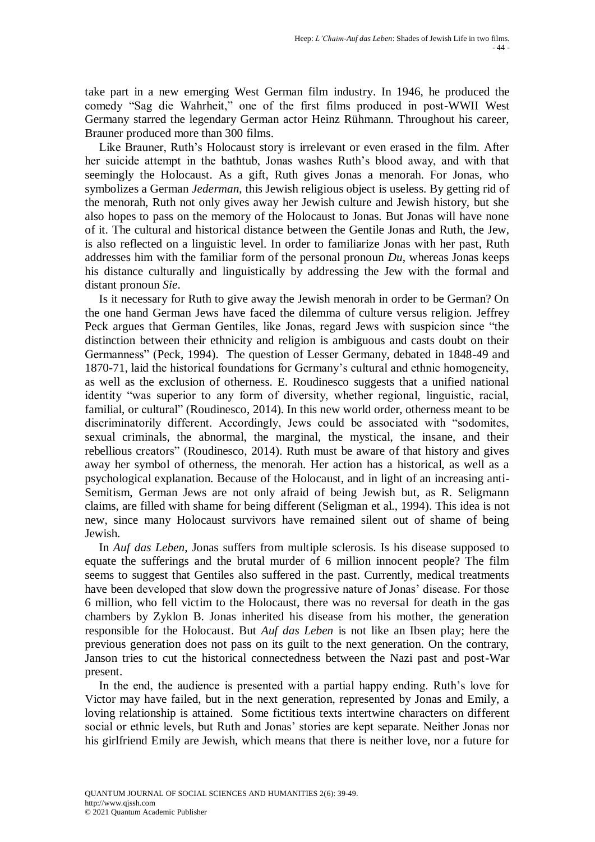take part in a new emerging West German film industry. In 1946, he produced the comedy "Sag die Wahrheit," one of the first films produced in post-WWII West Germany starred the legendary German actor Heinz Rühmann. Throughout his career, Brauner produced more than 300 films.

Like Brauner, Ruth's Holocaust story is irrelevant or even erased in the film. After her suicide attempt in the bathtub, Jonas washes Ruth"s blood away, and with that seemingly the Holocaust. As a gift, Ruth gives Jonas a menorah. For Jonas, who symbolizes a German *Jederman*, this Jewish religious object is useless. By getting rid of the menorah, Ruth not only gives away her Jewish culture and Jewish history, but she also hopes to pass on the memory of the Holocaust to Jonas. But Jonas will have none of it. The cultural and historical distance between the Gentile Jonas and Ruth, the Jew, is also reflected on a linguistic level. In order to familiarize Jonas with her past, Ruth addresses him with the familiar form of the personal pronoun *Du*, whereas Jonas keeps his distance culturally and linguistically by addressing the Jew with the formal and distant pronoun *Sie*.

Is it necessary for Ruth to give away the Jewish menorah in order to be German? On the one hand German Jews have faced the dilemma of culture versus religion. Jeffrey Peck argues that German Gentiles, like Jonas, regard Jews with suspicion since "the distinction between their ethnicity and religion is ambiguous and casts doubt on their Germanness" (Peck, 1994). The question of Lesser Germany, debated in 1848-49 and 1870-71, laid the historical foundations for Germany"s cultural and ethnic homogeneity, as well as the exclusion of otherness. E. Roudinesco suggests that a unified national identity "was superior to any form of diversity, whether regional, linguistic, racial, familial, or cultural" (Roudinesco, 2014). In this new world order, otherness meant to be discriminatorily different. Accordingly, Jews could be associated with "sodomites, sexual criminals, the abnormal, the marginal, the mystical, the insane, and their rebellious creators" (Roudinesco, 2014). Ruth must be aware of that history and gives away her symbol of otherness, the menorah. Her action has a historical, as well as a psychological explanation. Because of the Holocaust, and in light of an increasing anti-Semitism, German Jews are not only afraid of being Jewish but, as R. Seligmann claims, are filled with shame for being different (Seligman et al., 1994). This idea is not new, since many Holocaust survivors have remained silent out of shame of being Jewish.

In *Auf das Leben*, Jonas suffers from multiple sclerosis. Is his disease supposed to equate the sufferings and the brutal murder of 6 million innocent people? The film seems to suggest that Gentiles also suffered in the past. Currently, medical treatments have been developed that slow down the progressive nature of Jonas' disease. For those 6 million, who fell victim to the Holocaust, there was no reversal for death in the gas chambers by Zyklon B. Jonas inherited his disease from his mother, the generation responsible for the Holocaust. But *Auf das Leben* is not like an Ibsen play; here the previous generation does not pass on its guilt to the next generation. On the contrary, Janson tries to cut the historical connectedness between the Nazi past and post-War present.

In the end, the audience is presented with a partial happy ending. Ruth's love for Victor may have failed, but in the next generation, represented by Jonas and Emily, a loving relationship is attained. Some fictitious texts intertwine characters on different social or ethnic levels, but Ruth and Jonas" stories are kept separate. Neither Jonas nor his girlfriend Emily are Jewish, which means that there is neither love, nor a future for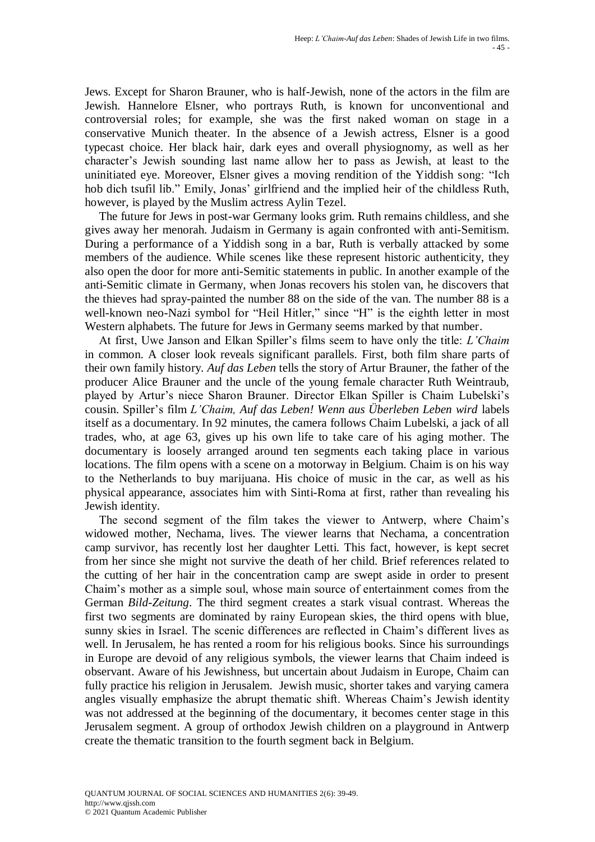Jews. Except for Sharon Brauner, who is half-Jewish, none of the actors in the film are Jewish. Hannelore Elsner, who portrays Ruth, is known for unconventional and controversial roles; for example, she was the first naked woman on stage in a conservative Munich theater. In the absence of a Jewish actress, Elsner is a good typecast choice. Her black hair, dark eyes and overall physiognomy, as well as her character"s Jewish sounding last name allow her to pass as Jewish, at least to the uninitiated eye. Moreover, Elsner gives a moving rendition of the Yiddish song: "Ich hob dich tsufil lib." Emily, Jonas' girlfriend and the implied heir of the childless Ruth, however, is played by the Muslim actress Aylin Tezel.

The future for Jews in post-war Germany looks grim. Ruth remains childless, and she gives away her menorah. Judaism in Germany is again confronted with anti-Semitism. During a performance of a Yiddish song in a bar, Ruth is verbally attacked by some members of the audience. While scenes like these represent historic authenticity, they also open the door for more anti-Semitic statements in public. In another example of the anti-Semitic climate in Germany, when Jonas recovers his stolen van, he discovers that the thieves had spray-painted the number 88 on the side of the van. The number 88 is a well-known neo-Nazi symbol for "Heil Hitler," since "H" is the eighth letter in most Western alphabets. The future for Jews in Germany seems marked by that number.

At first, Uwe Janson and Elkan Spiller"s films seem to have only the title: *L'Chaim* in common. A closer look reveals significant parallels. First, both film share parts of their own family history. *Auf das Leben* tells the story of Artur Brauner, the father of the producer Alice Brauner and the uncle of the young female character Ruth Weintraub, played by Artur"s niece Sharon Brauner. Director Elkan Spiller is Chaim Lubelski"s cousin. Spiller"s film *L'Chaim, Auf das Leben! Wenn aus Überleben Leben wird* labels itself as a documentary. In 92 minutes, the camera follows Chaim Lubelski, a jack of all trades, who, at age 63, gives up his own life to take care of his aging mother. The documentary is loosely arranged around ten segments each taking place in various locations. The film opens with a scene on a motorway in Belgium. Chaim is on his way to the Netherlands to buy marijuana. His choice of music in the car, as well as his physical appearance, associates him with Sinti-Roma at first, rather than revealing his Jewish identity.

The second segment of the film takes the viewer to Antwerp, where Chaim"s widowed mother, Nechama, lives. The viewer learns that Nechama, a concentration camp survivor, has recently lost her daughter Letti. This fact, however, is kept secret from her since she might not survive the death of her child. Brief references related to the cutting of her hair in the concentration camp are swept aside in order to present Chaim"s mother as a simple soul, whose main source of entertainment comes from the German *Bild-Zeitung*. The third segment creates a stark visual contrast. Whereas the first two segments are dominated by rainy European skies, the third opens with blue, sunny skies in Israel. The scenic differences are reflected in Chaim"s different lives as well. In Jerusalem, he has rented a room for his religious books. Since his surroundings in Europe are devoid of any religious symbols, the viewer learns that Chaim indeed is observant. Aware of his Jewishness, but uncertain about Judaism in Europe, Chaim can fully practice his religion in Jerusalem. Jewish music, shorter takes and varying camera angles visually emphasize the abrupt thematic shift. Whereas Chaim"s Jewish identity was not addressed at the beginning of the documentary, it becomes center stage in this Jerusalem segment. A group of orthodox Jewish children on a playground in Antwerp create the thematic transition to the fourth segment back in Belgium.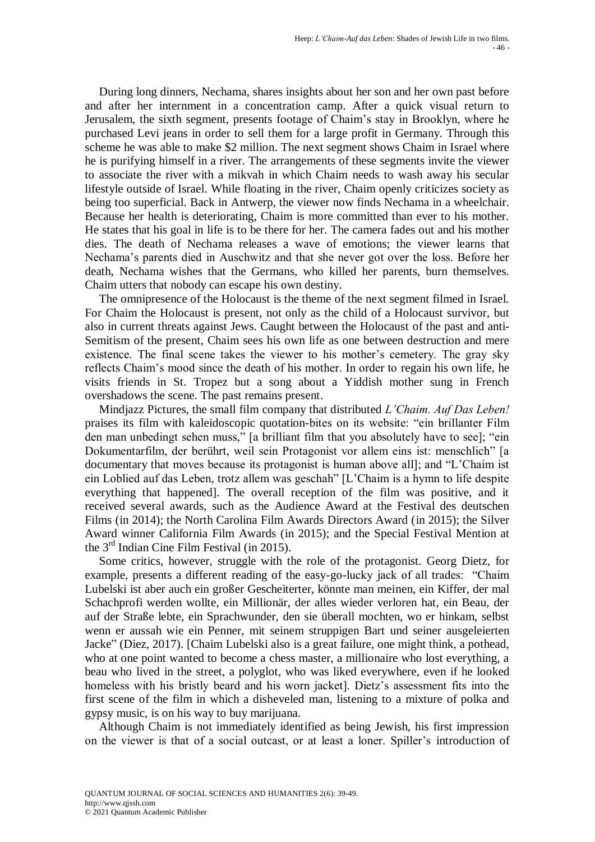During long dinners, Nechama, shares insights about her son and her own past before and after her internment in a concentration camp. After a quick visual return to Jerusalem, the sixth segment, presents footage of Chaim"s stay in Brooklyn, where he purchased Levi jeans in order to sell them for a large profit in Germany. Through this scheme he was able to make \$2 million. The next segment shows Chaim in Israel where he is purifying himself in a river. The arrangements of these segments invite the viewer to associate the river with a mikvah in which Chaim needs to wash away his secular lifestyle outside of Israel. While floating in the river, Chaim openly criticizes society as being too superficial. Back in Antwerp, the viewer now finds Nechama in a wheelchair. Because her health is deteriorating, Chaim is more committed than ever to his mother. He states that his goal in life is to be there for her. The camera fades out and his mother dies. The death of Nechama releases a wave of emotions; the viewer learns that Nechama"s parents died in Auschwitz and that she never got over the loss. Before her death, Nechama wishes that the Germans, who killed her parents, burn themselves. Chaim utters that nobody can escape his own destiny.

The omnipresence of the Holocaust is the theme of the next segment filmed in Israel. For Chaim the Holocaust is present, not only as the child of a Holocaust survivor, but also in current threats against Jews. Caught between the Holocaust of the past and anti-Semitism of the present, Chaim sees his own life as one between destruction and mere existence. The final scene takes the viewer to his mother's cemetery. The gray sky reflects Chaim"s mood since the death of his mother. In order to regain his own life, he visits friends in St. Tropez but a song about a Yiddish mother sung in French overshadows the scene. The past remains present.

Mindjazz Pictures, the small film company that distributed *L'Chaim. Auf Das Leben!* praises its film with kaleidoscopic quotation-bites on its website: "ein brillanter Film den man unbedingt sehen muss," [a brilliant film that you absolutely have to see]; "ein Dokumentarfilm, der berührt, weil sein Protagonist vor allem eins ist: menschlich" [a documentary that moves because its protagonist is human above all]; and "L"Chaim ist ein Loblied auf das Leben, trotz allem was geschah" [L"Chaim is a hymn to life despite everything that happened]. The overall reception of the film was positive, and it received several awards, such as the Audience Award at the Festival des deutschen Films (in 2014); the North Carolina Film Awards Directors Award (in 2015); the Silver Award winner California Film Awards (in 2015); and the Special Festival Mention at the 3rd Indian Cine Film Festival (in 2015).

Some critics, however, struggle with the role of the protagonist. Georg Dietz, for example, presents a different reading of the easy-go-lucky jack of all trades: "Chaim Lubelski ist aber auch ein großer Gescheiterter, könnte man meinen, ein Kiffer, der mal Schachprofi werden wollte, ein Millionär, der alles wieder verloren hat, ein Beau, der auf der Straße lebte, ein Sprachwunder, den sie überall mochten, wo er hinkam, selbst wenn er aussah wie ein Penner, mit seinem struppigen Bart und seiner ausgeleierten Jacke" (Diez, 2017). [Chaim Lubelski also is a great failure, one might think, a pothead, who at one point wanted to become a chess master, a millionaire who lost everything, a beau who lived in the street, a polyglot, who was liked everywhere, even if he looked homeless with his bristly beard and his worn jacket]. Dietz"s assessment fits into the first scene of the film in which a disheveled man, listening to a mixture of polka and gypsy music, is on his way to buy marijuana.

Although Chaim is not immediately identified as being Jewish, his first impression on the viewer is that of a social outcast, or at least a loner. Spiller"s introduction of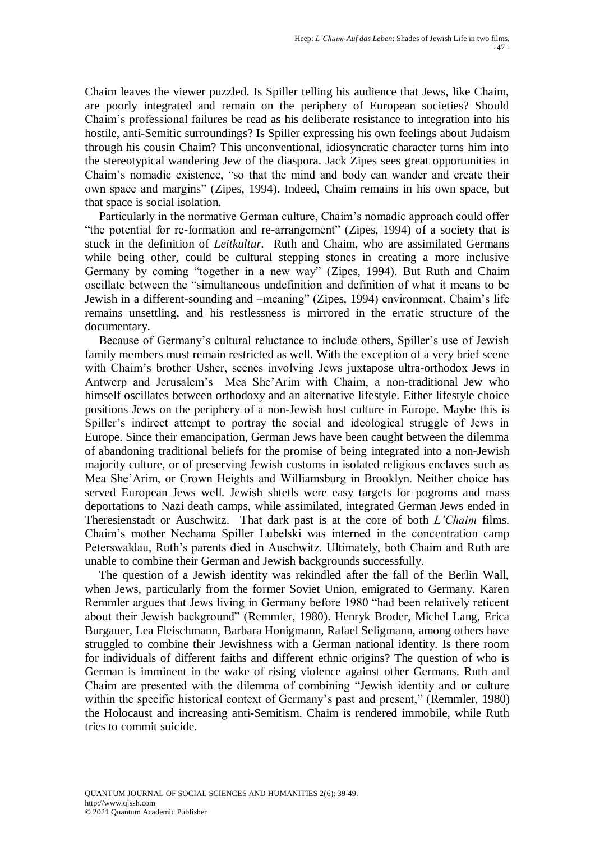Chaim leaves the viewer puzzled. Is Spiller telling his audience that Jews, like Chaim, are poorly integrated and remain on the periphery of European societies? Should Chaim"s professional failures be read as his deliberate resistance to integration into his hostile, anti-Semitic surroundings? Is Spiller expressing his own feelings about Judaism through his cousin Chaim? This unconventional, idiosyncratic character turns him into the stereotypical wandering Jew of the diaspora. Jack Zipes sees great opportunities in Chaim"s nomadic existence, "so that the mind and body can wander and create their own space and margins" (Zipes, 1994). Indeed, Chaim remains in his own space, but that space is social isolation.

Particularly in the normative German culture, Chaim"s nomadic approach could offer "the potential for re-formation and re-arrangement" (Zipes, 1994) of a society that is stuck in the definition of *Leitkultur.* Ruth and Chaim, who are assimilated Germans while being other, could be cultural stepping stones in creating a more inclusive Germany by coming "together in a new way" (Zipes, 1994). But Ruth and Chaim oscillate between the "simultaneous undefinition and definition of what it means to be Jewish in a different-sounding and –meaning" (Zipes, 1994) environment. Chaim"s life remains unsettling, and his restlessness is mirrored in the erratic structure of the documentary.

Because of Germany's cultural reluctance to include others, Spiller's use of Jewish family members must remain restricted as well. With the exception of a very brief scene with Chaim"s brother Usher, scenes involving Jews juxtapose ultra-orthodox Jews in Antwerp and Jerusalem"s Mea She"Arim with Chaim, a non-traditional Jew who himself oscillates between orthodoxy and an alternative lifestyle. Either lifestyle choice positions Jews on the periphery of a non-Jewish host culture in Europe. Maybe this is Spiller"s indirect attempt to portray the social and ideological struggle of Jews in Europe. Since their emancipation, German Jews have been caught between the dilemma of abandoning traditional beliefs for the promise of being integrated into a non-Jewish majority culture, or of preserving Jewish customs in isolated religious enclaves such as Mea She"Arim, or Crown Heights and Williamsburg in Brooklyn. Neither choice has served European Jews well. Jewish shtetls were easy targets for pogroms and mass deportations to Nazi death camps, while assimilated, integrated German Jews ended in Theresienstadt or Auschwitz. That dark past is at the core of both *L'Chaim* films. Chaim"s mother Nechama Spiller Lubelski was interned in the concentration camp Peterswaldau, Ruth's parents died in Auschwitz. Ultimately, both Chaim and Ruth are unable to combine their German and Jewish backgrounds successfully.

The question of a Jewish identity was rekindled after the fall of the Berlin Wall, when Jews, particularly from the former Soviet Union, emigrated to Germany. Karen Remmler argues that Jews living in Germany before 1980 "had been relatively reticent about their Jewish background" (Remmler, 1980). Henryk Broder, Michel Lang, Erica Burgauer, Lea Fleischmann, Barbara Honigmann, Rafael Seligmann, among others have struggled to combine their Jewishness with a German national identity. Is there room for individuals of different faiths and different ethnic origins? The question of who is German is imminent in the wake of rising violence against other Germans. Ruth and Chaim are presented with the dilemma of combining "Jewish identity and or culture within the specific historical context of Germany's past and present," (Remmler, 1980) the Holocaust and increasing anti-Semitism. Chaim is rendered immobile, while Ruth tries to commit suicide.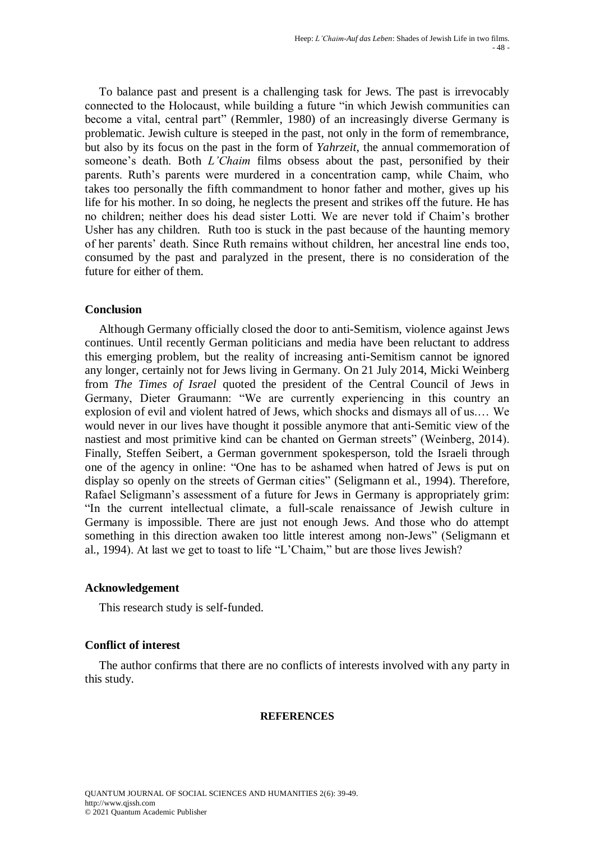To balance past and present is a challenging task for Jews. The past is irrevocably connected to the Holocaust, while building a future "in which Jewish communities can become a vital, central part" (Remmler, 1980) of an increasingly diverse Germany is problematic. Jewish culture is steeped in the past, not only in the form of remembrance, but also by its focus on the past in the form of *Yahrzeit*, the annual commemoration of someone's death. Both *L'Chaim* films obsess about the past, personified by their parents. Ruth's parents were murdered in a concentration camp, while Chaim, who takes too personally the fifth commandment to honor father and mother, gives up his life for his mother. In so doing, he neglects the present and strikes off the future. He has no children; neither does his dead sister Lotti. We are never told if Chaim"s brother Usher has any children. Ruth too is stuck in the past because of the haunting memory of her parents" death. Since Ruth remains without children, her ancestral line ends too, consumed by the past and paralyzed in the present, there is no consideration of the future for either of them.

# **Conclusion**

Although Germany officially closed the door to anti-Semitism, violence against Jews continues. Until recently German politicians and media have been reluctant to address this emerging problem, but the reality of increasing anti-Semitism cannot be ignored any longer, certainly not for Jews living in Germany. On 21 July 2014, Micki Weinberg from *The Times of Israel* quoted the president of the Central Council of Jews in Germany, Dieter Graumann: "We are currently experiencing in this country an explosion of evil and violent hatred of Jews, which shocks and dismays all of us.… We would never in our lives have thought it possible anymore that anti-Semitic view of the nastiest and most primitive kind can be chanted on German streets" (Weinberg, 2014). Finally, Steffen Seibert, a German government spokesperson, told the Israeli through one of the agency in online: "One has to be ashamed when hatred of Jews is put on display so openly on the streets of German cities" (Seligmann et al., 1994). Therefore, Rafael Seligmann's assessment of a future for Jews in Germany is appropriately grim: "In the current intellectual climate, a full-scale renaissance of Jewish culture in Germany is impossible. There are just not enough Jews. And those who do attempt something in this direction awaken too little interest among non-Jews" (Seligmann et al., 1994). At last we get to toast to life "L"Chaim," but are those lives Jewish?

# **Acknowledgement**

This research study is self-funded.

# **Conflict of interest**

The author confirms that there are no conflicts of interests involved with any party in this study.

## **REFERENCES**